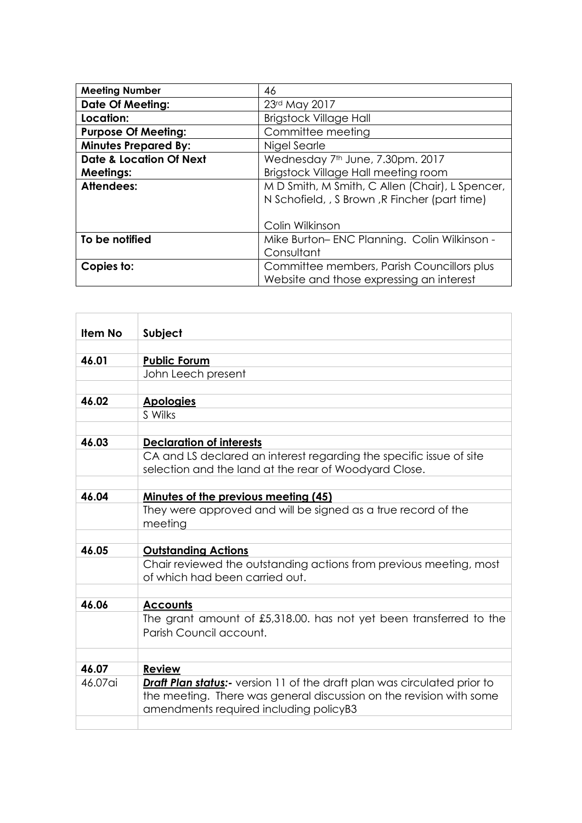| <b>Meeting Number</b>              | 46                                              |
|------------------------------------|-------------------------------------------------|
| <b>Date Of Meeting:</b>            | 23rd May 2017                                   |
| Location:                          | <b>Brigstock Village Hall</b>                   |
| <b>Purpose Of Meeting:</b>         | Committee meeting                               |
| <b>Minutes Prepared By:</b>        | Nigel Searle                                    |
| <b>Date &amp; Location Of Next</b> | Wednesday 7 <sup>th</sup> June, 7.30pm. 2017    |
| <b>Meetings:</b>                   | Brigstock Village Hall meeting room             |
| <b>Attendees:</b>                  | M D Smith, M Smith, C Allen (Chair), L Spencer, |
|                                    | N Schofield, , S Brown, R Fincher (part time)   |
|                                    |                                                 |
|                                    | Colin Wilkinson                                 |
| To be notified                     | Mike Burton-ENC Planning. Colin Wilkinson -     |
|                                    | Consultant                                      |
| Copies to:                         | Committee members, Parish Councillors plus      |
|                                    | Website and those expressing an interest        |

| <b>Item No</b> | Subject                                                                                                                                                                                         |
|----------------|-------------------------------------------------------------------------------------------------------------------------------------------------------------------------------------------------|
|                |                                                                                                                                                                                                 |
| 46.01          | <b>Public Forum</b>                                                                                                                                                                             |
|                | John Leech present                                                                                                                                                                              |
|                |                                                                                                                                                                                                 |
| 46.02          | <b>Apologies</b>                                                                                                                                                                                |
|                | S Wilks                                                                                                                                                                                         |
|                |                                                                                                                                                                                                 |
| 46.03          | <b>Declaration of interests</b>                                                                                                                                                                 |
|                | CA and LS declared an interest regarding the specific issue of site<br>selection and the land at the rear of Woodyard Close.                                                                    |
|                |                                                                                                                                                                                                 |
| 46.04          | <b>Minutes of the previous meeting (45)</b>                                                                                                                                                     |
|                | They were approved and will be signed as a true record of the<br>meeting                                                                                                                        |
|                |                                                                                                                                                                                                 |
| 46.05          | <b>Outstanding Actions</b>                                                                                                                                                                      |
|                | Chair reviewed the outstanding actions from previous meeting, most<br>of which had been carried out.                                                                                            |
|                |                                                                                                                                                                                                 |
| 46.06          | <b>Accounts</b>                                                                                                                                                                                 |
|                | The grant amount of £5,318.00. has not yet been transferred to the<br>Parish Council account.                                                                                                   |
|                |                                                                                                                                                                                                 |
| 46.07          | <b>Review</b>                                                                                                                                                                                   |
| 46.07ai        | <b>Draft Plan status:</b> version 11 of the draft plan was circulated prior to<br>the meeting. There was general discussion on the revision with some<br>amendments required including policyB3 |
|                |                                                                                                                                                                                                 |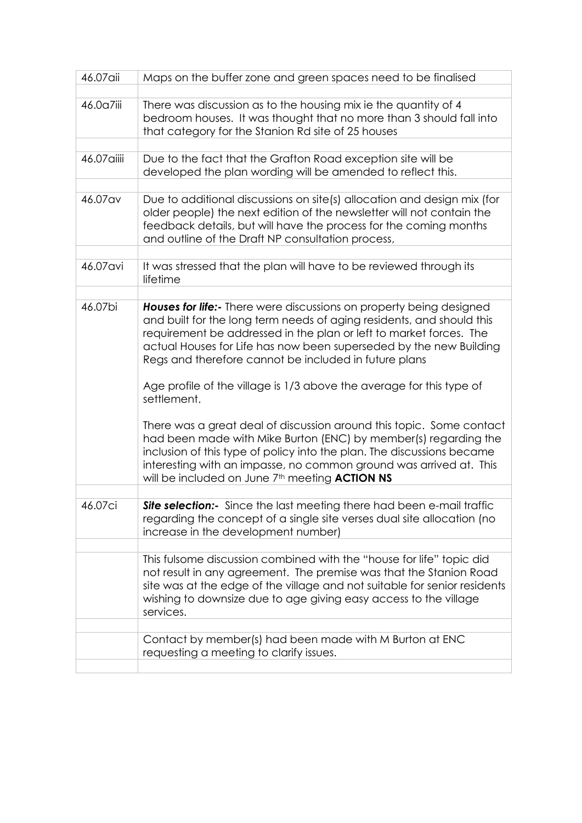| 46.07aii    | Maps on the buffer zone and green spaces need to be finalised                                                                                                                                                                                                                                                                                                |
|-------------|--------------------------------------------------------------------------------------------------------------------------------------------------------------------------------------------------------------------------------------------------------------------------------------------------------------------------------------------------------------|
| 46.0a7iii   | There was discussion as to the housing mix ie the quantity of 4<br>bedroom houses. It was thought that no more than 3 should fall into<br>that category for the Stanion Rd site of 25 houses                                                                                                                                                                 |
|             |                                                                                                                                                                                                                                                                                                                                                              |
| 46.07 aiiii | Due to the fact that the Grafton Road exception site will be<br>developed the plan wording will be amended to reflect this.                                                                                                                                                                                                                                  |
|             |                                                                                                                                                                                                                                                                                                                                                              |
| 46.07 av    | Due to additional discussions on site(s) allocation and design mix (for<br>older people) the next edition of the newsletter will not contain the<br>feedback details, but will have the process for the coming months<br>and outline of the Draft NP consultation process,                                                                                   |
|             |                                                                                                                                                                                                                                                                                                                                                              |
| 46.07 avi   | It was stressed that the plan will have to be reviewed through its<br>lifetime                                                                                                                                                                                                                                                                               |
|             |                                                                                                                                                                                                                                                                                                                                                              |
| 46.07bi     | Houses for life:- There were discussions on property being designed<br>and built for the long term needs of aging residents, and should this<br>requirement be addressed in the plan or left to market forces. The<br>actual Houses for Life has now been superseded by the new Building<br>Regs and therefore cannot be included in future plans            |
|             | Age profile of the village is 1/3 above the average for this type of<br>settlement.                                                                                                                                                                                                                                                                          |
|             | There was a great deal of discussion around this topic. Some contact<br>had been made with Mike Burton (ENC) by member(s) regarding the<br>inclusion of this type of policy into the plan. The discussions became<br>interesting with an impasse, no common ground was arrived at. This<br>will be included on June 7 <sup>th</sup> meeting <b>ACTION NS</b> |
|             |                                                                                                                                                                                                                                                                                                                                                              |
| 46.07ci     | Site selection:- Since the last meeting there had been e-mail traffic<br>regarding the concept of a single site verses dual site allocation (no<br>increase in the development number)                                                                                                                                                                       |
|             |                                                                                                                                                                                                                                                                                                                                                              |
|             | This fulsome discussion combined with the "house for life" topic did<br>not result in any agreement. The premise was that the Stanion Road<br>site was at the edge of the village and not suitable for senior residents<br>wishing to downsize due to age giving easy access to the village<br>services.                                                     |
|             |                                                                                                                                                                                                                                                                                                                                                              |
|             | Contact by member(s) had been made with M Burton at ENC<br>requesting a meeting to clarify issues.                                                                                                                                                                                                                                                           |
|             |                                                                                                                                                                                                                                                                                                                                                              |